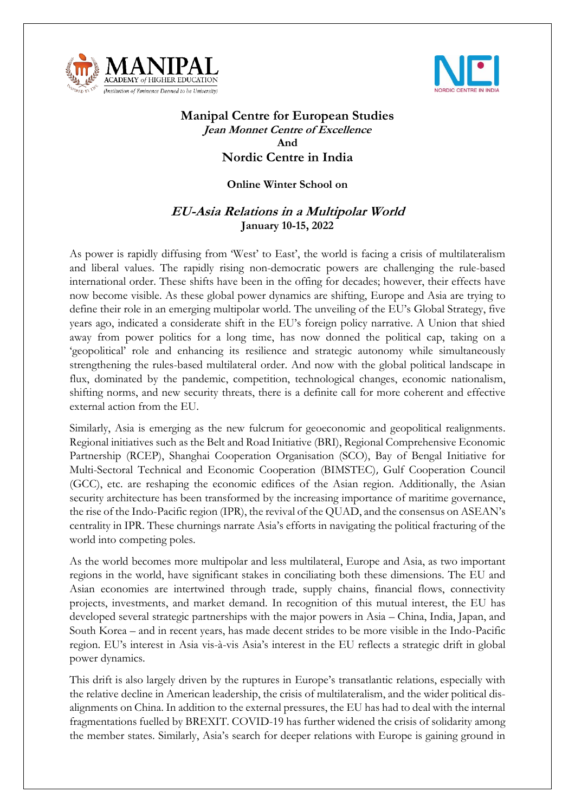



## **Manipal Centre for European Studies Jean Monnet Centre of Excellence And Nordic Centre in India**

## **Online Winter School on**

## **EU-Asia Relations in a Multipolar World January 10-15, 2022**

As power is rapidly diffusing from 'West' to East', the world is facing a crisis of multilateralism and liberal values. The rapidly rising non-democratic powers are challenging the rule-based international order. These shifts have been in the offing for decades; however, their effects have now become visible. As these global power dynamics are shifting, Europe and Asia are trying to define their role in an emerging multipolar world. The unveiling of the EU's Global Strategy, five years ago, indicated a considerate shift in the EU's foreign policy narrative. A Union that shied away from power politics for a long time, has now donned the political cap, taking on a 'geopolitical' role and enhancing its resilience and strategic autonomy while simultaneously strengthening the rules-based multilateral order. And now with the global political landscape in flux, dominated by the pandemic, competition, technological changes, economic nationalism, shifting norms, and new security threats, there is a definite call for more coherent and effective external action from the EU.

Similarly, Asia is emerging as the new fulcrum for geoeconomic and geopolitical realignments. Regional initiatives such as the Belt and Road Initiative (BRI), Regional Comprehensive Economic Partnership (RCEP), Shanghai Cooperation Organisation (SCO), Bay of Bengal Initiative for Multi-Sectoral Technical and Economic Cooperation (BIMSTEC), Gulf Cooperation Council (GCC), etc. are reshaping the economic edifices of the Asian region. Additionally, the Asian security architecture has been transformed by the increasing importance of maritime governance, the rise of the Indo-Pacific region (IPR), the revival of the QUAD, and the consensus on ASEAN's centrality in IPR. These churnings narrate Asia's efforts in navigating the political fracturing of the world into competing poles.

As the world becomes more multipolar and less multilateral, Europe and Asia, as two important regions in the world, have significant stakes in conciliating both these dimensions. The EU and Asian economies are intertwined through trade, supply chains, financial flows, connectivity projects, investments, and market demand. In recognition of this mutual interest, the EU has developed several strategic partnerships with the major powers in Asia – China, India, Japan, and South Korea – and in recent years, has made decent strides to be more visible in the Indo-Pacific region. EU's interest in Asia vis-à-vis Asia's interest in the EU reflects a strategic drift in global power dynamics.

This drift is also largely driven by the ruptures in Europe's transatlantic relations, especially with the relative decline in American leadership, the crisis of multilateralism, and the wider political disalignments on China. In addition to the external pressures, the EU has had to deal with the internal fragmentations fuelled by BREXIT. COVID-19 has further widened the crisis of solidarity among the member states. Similarly, Asia's search for deeper relations with Europe is gaining ground in